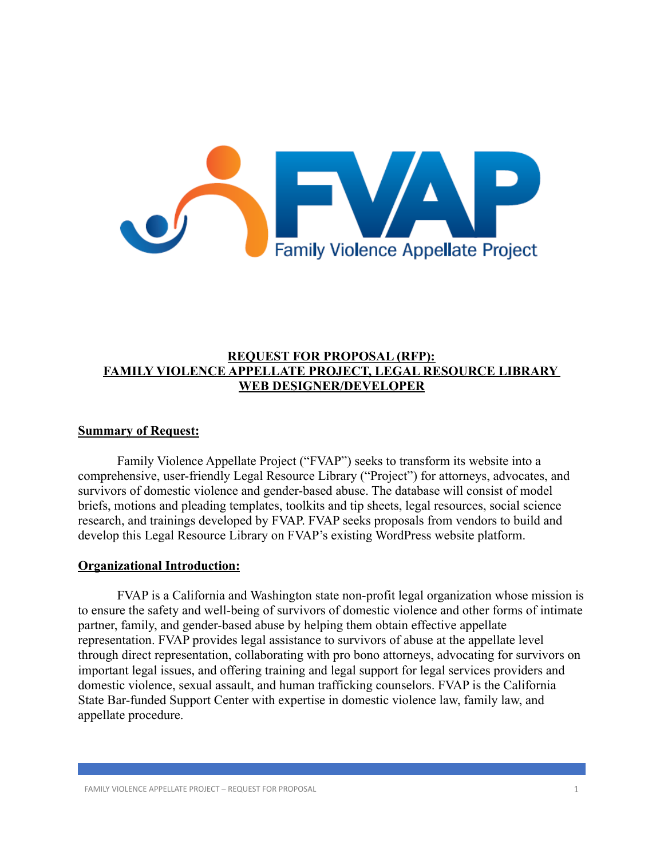

## **REQUEST FOR PROPOSAL (RFP): FAMILY VIOLENCE APPELLATE PROJECT, LEGAL RESOURCE LIBRARY WEB DESIGNER/DEVELOPER**

### **Summary of Request:**

Family Violence Appellate Project ("FVAP") seeks to transform its website into a comprehensive, user-friendly Legal Resource Library ("Project") for attorneys, advocates, and survivors of domestic violence and gender-based abuse. The database will consist of model briefs, motions and pleading templates, toolkits and tip sheets, legal resources, social science research, and trainings developed by FVAP. FVAP seeks proposals from vendors to build and develop this Legal Resource Library on FVAP's existing WordPress website platform.

### **Organizational Introduction:**

FVAP is a California and Washington state non-profit legal organization whose mission is to ensure the safety and well-being of survivors of domestic violence and other forms of intimate partner, family, and gender-based abuse by helping them obtain effective appellate representation. FVAP provides legal assistance to survivors of abuse at the appellate level through direct representation, collaborating with pro bono attorneys, advocating for survivors on important legal issues, and offering training and legal support for legal services providers and domestic violence, sexual assault, and human trafficking counselors. FVAP is the California State Bar-funded Support Center with expertise in domestic violence law, family law, and appellate procedure.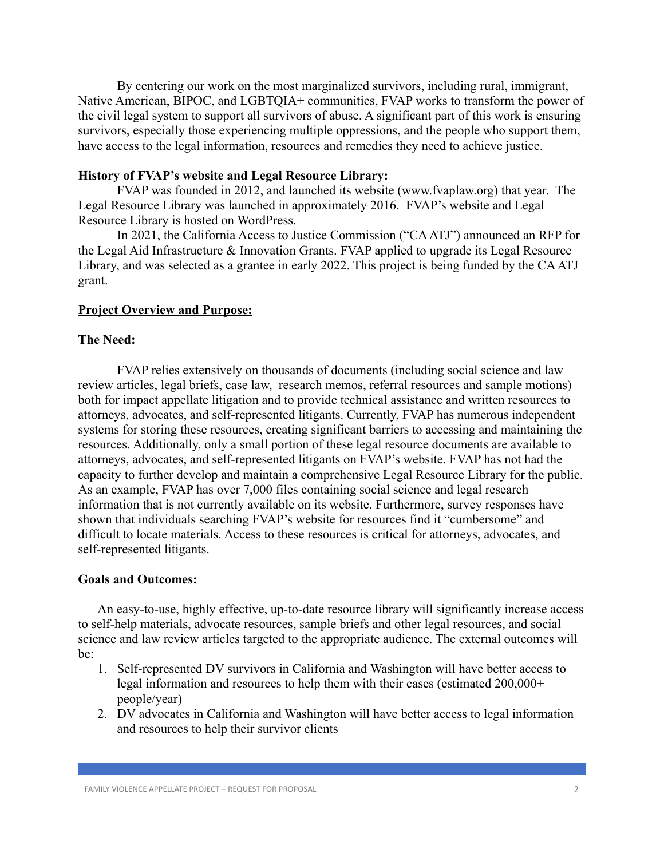By centering our work on the most marginalized survivors, including rural, immigrant, Native American, BIPOC, and LGBTQIA+ communities, FVAP works to transform the power of the civil legal system to support all survivors of abuse. A significant part of this work is ensuring survivors, especially those experiencing multiple oppressions, and the people who support them, have access to the legal information, resources and remedies they need to achieve justice.

### **History of FVAP's website and Legal Resource Library:**

FVAP was founded in 2012, and launched its website (www.fvaplaw.org) that year. The Legal Resource Library was launched in approximately 2016. FVAP's website and Legal Resource Library is hosted on WordPress.

In 2021, the California Access to Justice Commission ("CA ATJ") announced an RFP for the Legal Aid Infrastructure & Innovation Grants. FVAP applied to upgrade its Legal Resource Library, and was selected as a grantee in early 2022. This project is being funded by the CA ATJ grant.

#### **Project Overview and Purpose:**

### **The Need:**

FVAP relies extensively on thousands of documents (including social science and law review articles, legal briefs, case law, research memos, referral resources and sample motions) both for impact appellate litigation and to provide technical assistance and written resources to attorneys, advocates, and self-represented litigants. Currently, FVAP has numerous independent systems for storing these resources, creating significant barriers to accessing and maintaining the resources. Additionally, only a small portion of these legal resource documents are available to attorneys, advocates, and self-represented litigants on FVAP's website. FVAP has not had the capacity to further develop and maintain a comprehensive Legal Resource Library for the public. As an example, FVAP has over 7,000 files containing social science and legal research information that is not currently available on its website. Furthermore, survey responses have shown that individuals searching FVAP's website for resources find it "cumbersome" and difficult to locate materials. Access to these resources is critical for attorneys, advocates, and self-represented litigants.

#### **Goals and Outcomes:**

An easy-to-use, highly effective, up-to-date resource library will significantly increase access to self-help materials, advocate resources, sample briefs and other legal resources, and social science and law review articles targeted to the appropriate audience. The external outcomes will be:

- 1. Self-represented DV survivors in California and Washington will have better access to legal information and resources to help them with their cases (estimated 200,000+ people/year)
- 2. DV advocates in California and Washington will have better access to legal information and resources to help their survivor clients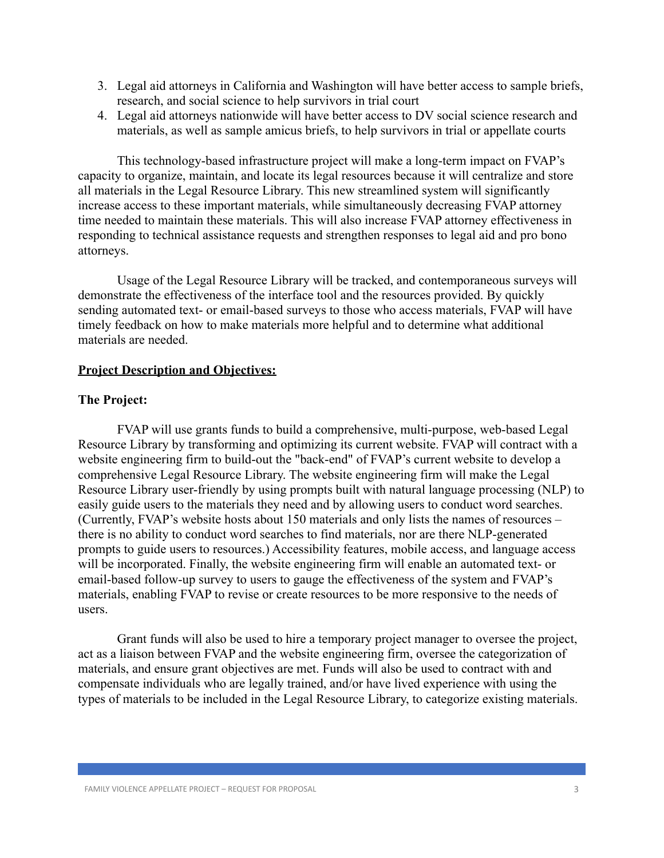- 3. Legal aid attorneys in California and Washington will have better access to sample briefs, research, and social science to help survivors in trial court
- 4. Legal aid attorneys nationwide will have better access to DV social science research and materials, as well as sample amicus briefs, to help survivors in trial or appellate courts

This technology-based infrastructure project will make a long-term impact on FVAP's capacity to organize, maintain, and locate its legal resources because it will centralize and store all materials in the Legal Resource Library. This new streamlined system will significantly increase access to these important materials, while simultaneously decreasing FVAP attorney time needed to maintain these materials. This will also increase FVAP attorney effectiveness in responding to technical assistance requests and strengthen responses to legal aid and pro bono attorneys.

Usage of the Legal Resource Library will be tracked, and contemporaneous surveys will demonstrate the effectiveness of the interface tool and the resources provided. By quickly sending automated text- or email-based surveys to those who access materials, FVAP will have timely feedback on how to make materials more helpful and to determine what additional materials are needed.

#### **Project Description and Objectives:**

## **The Project:**

FVAP will use grants funds to build a comprehensive, multi-purpose, web-based Legal Resource Library by transforming and optimizing its current website. FVAP will contract with a website engineering firm to build-out the "back-end" of FVAP's current website to develop a comprehensive Legal Resource Library. The website engineering firm will make the Legal Resource Library user-friendly by using prompts built with natural language processing (NLP) to easily guide users to the materials they need and by allowing users to conduct word searches. (Currently, FVAP's website hosts about 150 materials and only lists the names of resources – there is no ability to conduct word searches to find materials, nor are there NLP-generated prompts to guide users to resources.) Accessibility features, mobile access, and language access will be incorporated. Finally, the website engineering firm will enable an automated text- or email-based follow-up survey to users to gauge the effectiveness of the system and FVAP's materials, enabling FVAP to revise or create resources to be more responsive to the needs of users.

Grant funds will also be used to hire a temporary project manager to oversee the project, act as a liaison between FVAP and the website engineering firm, oversee the categorization of materials, and ensure grant objectives are met. Funds will also be used to contract with and compensate individuals who are legally trained, and/or have lived experience with using the types of materials to be included in the Legal Resource Library, to categorize existing materials.

FAMILY VIOLENCE APPELLATE PROJECT – REQUEST FOR PROPOSAL 3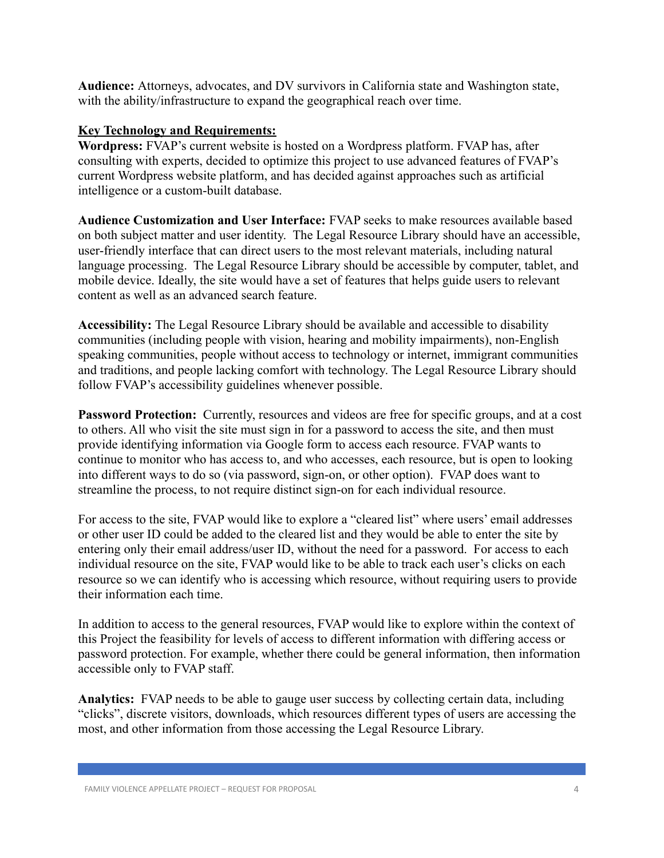**Audience:** Attorneys, advocates, and DV survivors in California state and Washington state, with the ability/infrastructure to expand the geographical reach over time.

# **Key Technology and Requirements:**

**Wordpress:** FVAP's current website is hosted on a Wordpress platform. FVAP has, after consulting with experts, decided to optimize this project to use advanced features of FVAP's current Wordpress website platform, and has decided against approaches such as artificial intelligence or a custom-built database.

**Audience Customization and User Interface:** FVAP seeks to make resources available based on both subject matter and user identity. The Legal Resource Library should have an accessible, user-friendly interface that can direct users to the most relevant materials, including natural language processing. The Legal Resource Library should be accessible by computer, tablet, and mobile device. Ideally, the site would have a set of features that helps guide users to relevant content as well as an advanced search feature.

**Accessibility:** The Legal Resource Library should be available and accessible to disability communities (including people with vision, hearing and mobility impairments), non-English speaking communities, people without access to technology or internet, immigrant communities and traditions, and people lacking comfort with technology. The Legal Resource Library should follow FVAP's accessibility guidelines whenever possible.

**Password Protection:** Currently, resources and videos are free for specific groups, and at a cost to others. All who visit the site must sign in for a password to access the site, and then must provide identifying information via Google form to access each resource. FVAP wants to continue to monitor who has access to, and who accesses, each resource, but is open to looking into different ways to do so (via password, sign-on, or other option). FVAP does want to streamline the process, to not require distinct sign-on for each individual resource.

For access to the site, FVAP would like to explore a "cleared list" where users' email addresses or other user ID could be added to the cleared list and they would be able to enter the site by entering only their email address/user ID, without the need for a password. For access to each individual resource on the site, FVAP would like to be able to track each user's clicks on each resource so we can identify who is accessing which resource, without requiring users to provide their information each time.

In addition to access to the general resources, FVAP would like to explore within the context of this Project the feasibility for levels of access to different information with differing access or password protection. For example, whether there could be general information, then information accessible only to FVAP staff.

**Analytics:** FVAP needs to be able to gauge user success by collecting certain data, including "clicks", discrete visitors, downloads, which resources different types of users are accessing the most, and other information from those accessing the Legal Resource Library.

FAMILY VIOLENCE APPELLATE PROJECT – REQUEST FOR PROPOSAL **4** 4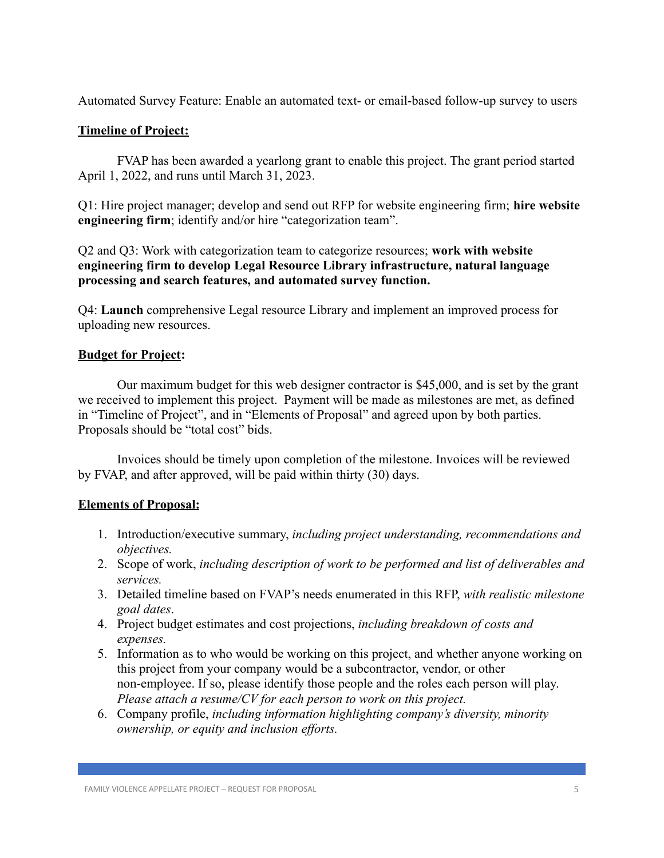Automated Survey Feature: Enable an automated text- or email-based follow-up survey to users

# **Timeline of Project:**

FVAP has been awarded a yearlong grant to enable this project. The grant period started April 1, 2022, and runs until March 31, 2023.

Q1: Hire project manager; develop and send out RFP for website engineering firm; **hire website engineering firm**; identify and/or hire "categorization team".

Q2 and Q3: Work with categorization team to categorize resources; **work with website engineering firm to develop Legal Resource Library infrastructure, natural language processing and search features, and automated survey function.**

Q4: **Launch** comprehensive Legal resource Library and implement an improved process for uploading new resources.

# **Budget for Project:**

Our maximum budget for this web designer contractor is \$45,000, and is set by the grant we received to implement this project. Payment will be made as milestones are met, as defined in "Timeline of Project", and in "Elements of Proposal" and agreed upon by both parties. Proposals should be "total cost" bids.

Invoices should be timely upon completion of the milestone. Invoices will be reviewed by FVAP, and after approved, will be paid within thirty (30) days.

# **Elements of Proposal:**

- 1. Introduction/executive summary, *including project understanding, recommendations and objectives.*
- 2. Scope of work, *including description of work to be performed and list of deliverables and services.*
- 3. Detailed timeline based on FVAP's needs enumerated in this RFP, *with realistic milestone goal dates*.
- 4. Project budget estimates and cost projections, *including breakdown of costs and expenses.*
- 5. Information as to who would be working on this project, and whether anyone working on this project from your company would be a subcontractor, vendor, or other non-employee. If so, please identify those people and the roles each person will play. *Please attach a resume/CV for each person to work on this project.*
- 6. Company profile, *including information highlighting company's diversity, minority ownership, or equity and inclusion efforts.*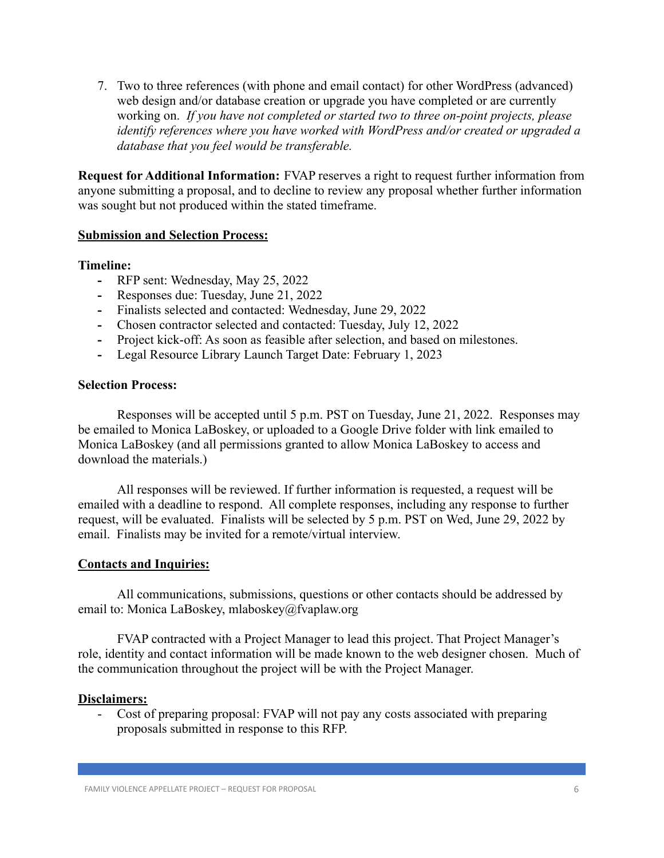7. Two to three references (with phone and email contact) for other WordPress (advanced) web design and/or database creation or upgrade you have completed or are currently working on. *If you have not completed or started two to three on-point projects, please identify references where you have worked with WordPress and/or created or upgraded a database that you feel would be transferable.*

**Request for Additional Information:** FVAP reserves a right to request further information from anyone submitting a proposal, and to decline to review any proposal whether further information was sought but not produced within the stated timeframe.

### **Submission and Selection Process:**

### **Timeline:**

- **-** RFP sent: Wednesday, May 25, 2022
- **-** Responses due: Tuesday, June 21, 2022
- **-** Finalists selected and contacted: Wednesday, June 29, 2022
- **-** Chosen contractor selected and contacted: Tuesday, July 12, 2022
- **-** Project kick-off: As soon as feasible after selection, and based on milestones.
- **-** Legal Resource Library Launch Target Date: February 1, 2023

### **Selection Process:**

Responses will be accepted until 5 p.m. PST on Tuesday, June 21, 2022. Responses may be emailed to Monica LaBoskey, or uploaded to a Google Drive folder with link emailed to Monica LaBoskey (and all permissions granted to allow Monica LaBoskey to access and download the materials.)

All responses will be reviewed. If further information is requested, a request will be emailed with a deadline to respond. All complete responses, including any response to further request, will be evaluated. Finalists will be selected by 5 p.m. PST on Wed, June 29, 2022 by email. Finalists may be invited for a remote/virtual interview.

## **Contacts and Inquiries:**

All communications, submissions, questions or other contacts should be addressed by email to: Monica LaBoskey, mlaboskey@fvaplaw.org

FVAP contracted with a Project Manager to lead this project. That Project Manager's role, identity and contact information will be made known to the web designer chosen. Much of the communication throughout the project will be with the Project Manager.

### **Disclaimers:**

- Cost of preparing proposal: FVAP will not pay any costs associated with preparing proposals submitted in response to this RFP.